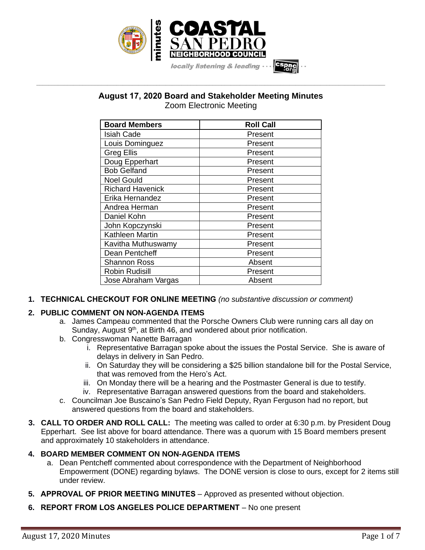

# **August 17, 2020 Board and Stakeholder Meeting Minutes** Zoom Electronic Meeting

**\_\_\_\_\_\_\_\_\_\_\_\_\_\_\_\_\_\_\_\_\_\_\_\_\_\_\_\_\_\_\_\_\_\_\_\_\_\_\_\_\_\_\_\_\_\_\_\_\_\_\_\_\_\_\_\_\_\_\_\_\_\_\_\_\_\_\_\_\_\_\_\_\_\_\_\_\_\_\_\_\_\_\_\_\_\_\_\_\_\_\_\_\_\_\_\_\_\_\_\_\_\_\_\_\_\_\_\_\_\_\_\_\_**

| <b>Board Members</b>    | <b>Roll Call</b> |
|-------------------------|------------------|
| <b>Isiah Cade</b>       | Present          |
| Louis Dominguez         | Present          |
| Greg Ellis              | Present          |
| Doug Epperhart          | Present          |
| <b>Bob Gelfand</b>      | Present          |
| <b>Noel Gould</b>       | Present          |
| <b>Richard Havenick</b> | Present          |
| Erika Hernandez         | Present          |
| Andrea Herman           | Present          |
| Daniel Kohn             | Present          |
| John Kopczynski         | Present          |
| Kathleen Martin         | Present          |
| Kavitha Muthuswamy      | Present          |
| Dean Pentcheff          | Present          |
| <b>Shannon Ross</b>     | Absent           |
| Robin Rudisill          | Present          |
| Jose Abraham Vargas     | Absent           |

**1. TECHNICAL CHECKOUT FOR ONLINE MEETING** *(no substantive discussion or comment)*

### **2. PUBLIC COMMENT ON NON-AGENDA ITEMS**

- a. James Campeau commented that the Porsche Owners Club were running cars all day on Sunday, August 9<sup>th</sup>, at Birth 46, and wondered about prior notification.
- b. Congresswoman Nanette Barragan
	- i. Representative Barragan spoke about the issues the Postal Service. She is aware of delays in delivery in San Pedro.
	- ii. On Saturday they will be considering a \$25 billion standalone bill for the Postal Service, that was removed from the Hero's Act.
	- iii. On Monday there will be a hearing and the Postmaster General is due to testify.
	- iv. Representative Barragan answered questions from the board and stakeholders.
- c. Councilman Joe Buscaino's San Pedro Field Deputy, Ryan Ferguson had no report, but answered questions from the board and stakeholders.
- **3. CALL TO ORDER AND ROLL CALL:** The meeting was called to order at 6:30 p.m. by President Doug Epperhart. See list above for board attendance. There was a quorum with 15 Board members present and approximately 10 stakeholders in attendance.

### **4. BOARD MEMBER COMMENT ON NON-AGENDA ITEMS**

- a. Dean Pentcheff commented about correspondence with the Department of Neighborhood Empowerment (DONE) regarding bylaws. The DONE version is close to ours, except for 2 items still under review.
- **5. APPROVAL OF PRIOR MEETING MINUTES** Approved as presented without objection.
- **6. REPORT FROM LOS ANGELES POLICE DEPARTMENT** No one present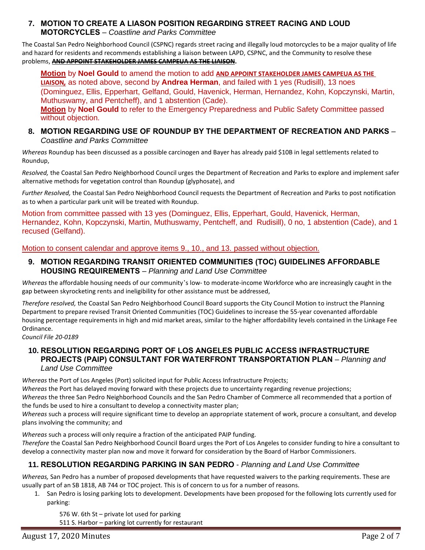### **7. MOTION TO CREATE A LIASON POSITION REGARDING STREET RACING AND LOUD MOTORCYCLES** – *Coastline and Parks Committee*

The Coastal San Pedro Neighborhood Council (CSPNC) regards street racing and illegally loud motorcycles to be a major quality of life and hazard for residents and recommends establishing a liaison between LAPD, CSPNC, and the Community to resolve these problems, **AND APPOINT STAKEHOLDER JAMES CAMPEUA AS THE LIAISON.**

**Motion** by **Noel Gould** to amend the motion to add **AND APPOINT STAKEHOLDER JAMES CAMPEUA AS THE LIAISON***,* as noted above, second by **Andrea Herman**, and failed with 1 yes (Rudisill), 13 noes (Dominguez, Ellis, Epperhart, Gelfand, Gould, Havenick, Herman, Hernandez, Kohn, Kopczynski, Martin, Muthuswamy, and Pentcheff), and 1 abstention (Cade).

**Motion** by **Noel Gould** to refer to the Emergency Preparedness and Public Safety Committee passed without objection.

### **8. MOTION REGARDING USE OF ROUNDUP BY THE DEPARTMENT OF RECREATION AND PARKS** – *Coastline and Parks Committee*

*Whereas* Roundup has been discussed as a possible carcinogen and Bayer has already paid \$10B in legal settlements related to Roundup,

*Resolved,* the Coastal San Pedro Neighborhood Council urges the Department of Recreation and Parks to explore and implement safer alternative methods for vegetation control than Roundup (glyphosate), and

*Further Resolved,* the Coastal San Pedro Neighborhood Council requests the Department of Recreation and Parks to post notification as to when a particular park unit will be treated with Roundup.

Motion from committee passed with 13 yes (Dominguez, Ellis, Epperhart, Gould, Havenick, Herman, Hernandez, Kohn, Kopczynski, Martin, Muthuswamy, Pentcheff, and Rudisill), 0 no, 1 abstention (Cade), and 1 recused (Gelfand).

Motion to consent calendar and approve items 9., 10., and 13. passed without objection.

### **9. MOTION REGARDING TRANSIT ORIENTED COMMUNITIES (TOC) GUIDELINES AFFORDABLE HOUSING REQUIREMENTS** – *Planning and Land Use Committee*

*Whereas* the affordable housing needs of our community's low- to moderate-income Workforce who are increasingly caught in the gap between skyrocketing rents and ineligibility for other assistance must be addressed,

*Therefore resolved,* the Coastal San Pedro Neighborhood Council Board supports the City Council Motion to instruct the Planning Department to prepare revised Transit Oriented Communities (TOC) Guidelines to increase the 55-year covenanted affordable housing percentage requirements in high and mid market areas, similar to the higher affordability levels contained in the Linkage Fee Ordinance.

*Council File 20-0189*

### **10. RESOLUTION REGARDING PORT OF LOS ANGELES PUBLIC ACCESS INFRASTRUCTURE PROJECTS (PAIP) CONSULTANT FOR WATERFRONT TRANSPORTATION PLAN** – *Planning and Land Use Committee*

*Whereas* the Port of Los Angeles (Port) solicited input for Public Access Infrastructure Projects;

*Whereas* the Port has delayed moving forward with these projects due to uncertainty regarding revenue projections; *Whereas* the three San Pedro Neighborhood Councils and the San Pedro Chamber of Commerce all recommended that a portion of the funds be used to hire a consultant to develop a connectivity master plan;

*Whereas* such a process will require significant time to develop an appropriate statement of work, procure a consultant, and develop plans involving the community; and

*Whereas* such a process will only require a fraction of the anticipated PAIP funding. *Therefore* the Coastal San Pedro Neighborhood Council Board urges the Port of Los Angeles to consider funding to hire a consultant to develop a connectivity master plan now and move it forward for consideration by the Board of Harbor Commissioners.

## **11. RESOLUTION REGARDING PARKING IN SAN PEDRO** - *Planning and Land Use Committee*

*Whereas,* San Pedro has a number of proposed developments that have requested waivers to the parking requirements. These are usually part of an SB 1818, AB 744 or TOC project. This is of concern to us for a number of reasons.

1. San Pedro is losing parking lots to development. Developments have been proposed for the following lots currently used for parking:

576 W. 6th St – private lot used for parking

511 S. Harbor – parking lot currently for restaurant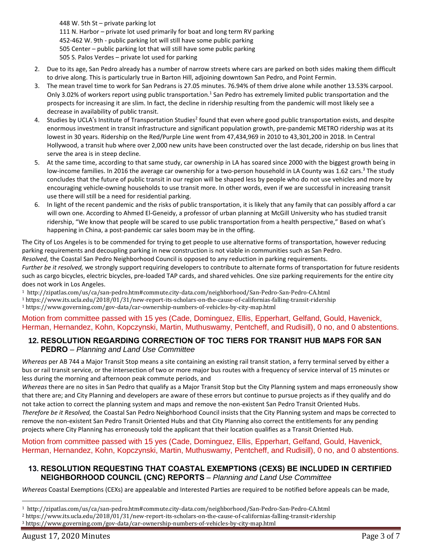W. 5th St – private parking lot N. Harbor – private lot used primarily for boat and long term RV parking 452-462 W. 9th - public parking lot will still have some public parking Center – public parking lot that will still have some public parking S. Palos Verdes – private lot used for parking

- 2. Due to its age, San Pedro already has a number of narrow streets where cars are parked on both sides making them difficult to drive along. This is particularly true in Barton Hill, adjoining downtown San Pedro, and Point Fermin.
- 3. The mean travel time to work for San Pedrans is 27.05 minutes. 76.94% of them drive alone while another 13.53% carpool. Only 3.02% of workers report using public transportation.<sup>1</sup> San Pedro has extremely limited public transportation and the prospects for increasing it are slim. In fact, the decline in ridership resulting from the pandemic will most likely see a decrease in availability of public transit.
- 4. Studies by UCLA's Institute of Transportation Studies<sup>2</sup> found that even where good public transportation exists, and despite enormous investment in transit infrastructure and significant population growth, pre-pandemic METRO ridership was at its lowest in 30 years. Ridership on the Red/Purple Line went from 47,434,969 in 2010 to 43,301,200 in 2018. In Central Hollywood, a transit hub where over 2,000 new units have been constructed over the last decade, ridership on bus lines that serve the area is in steep decline.
- 5. At the same time, according to that same study, car ownership in LA has soared since 2000 with the biggest growth being in low-income families. In 2016 the average car ownership for a two-person household in LA County was 1.62 cars.<sup>3</sup> The study concludes that the future of public transit in our region will be shaped less by people who do not use vehicles and more by encouraging vehicle-owning households to use transit more. In other words, even if we are successful in increasing transit use there will still be a need for residential parking.
- 6. In light of the recent pandemic and the risks of public transportation, it is likely that any family that can possibly afford a car will own one. According to Ahmed El-Geneidy, a professor of urban planning at McGill University who has studied transit ridership, "We know that people will be scared to use public transportation from a health perspective," Based on what's happening in China, a post-pandemic car sales boom may be in the offing.

The City of Los Angeles is to be commended for trying to get people to use alternative forms of transportation, however reducing parking requirements and decoupling parking in new construction is not viable in communities such as San Pedro. *Resolved,* the Coastal San Pedro Neighborhood Council is opposed to any reduction in parking requirements.

*Further be it resolved,* we strongly support requiring developers to contribute to alternate forms of transportation for future residents such as cargo bicycles, electric bicycles, pre-loaded TAP cards, and shared vehicles. One size parking requirements for the entire city does not work in Los Angeles.

<sup>1</sup> http://zipatlas.com/us/ca/san-pedro.htm#commute.city-data.com/neighborhood/San-Pedro-San-Pedro-CA.html

<sup>1</sup> https://www.its.ucla.edu/2018/01/31/new-report-its-scholars-on-the-cause-of-californias-falling-transit-ridership

<sup>1</sup> https://www.governing.com/gov-data/car-ownership-numbers-of-vehicles-by-city-map.html

### Motion from committee passed with 15 yes (Cade, Dominguez, Ellis, Epperhart, Gelfand, Gould, Havenick, Herman, Hernandez, Kohn, Kopczynski, Martin, Muthuswamy, Pentcheff, and Rudisill), 0 no, and 0 abstentions.

## **12. RESOLUTION REGARDING CORRECTION OF TOC TIERS FOR TRANSIT HUB MAPS FOR SAN PEDRO** – *Planning and Land Use Committee*

*Whereas* per AB 744 a Major Transit Stop means a site containing an existing rail transit station, a ferry terminal served by either a bus or rail transit service, or the intersection of two or more major bus routes with a frequency of service interval of 15 minutes or less during the morning and afternoon peak commute periods, and

*Whereas* there are no sites in San Pedro that qualify as a Major Transit Stop but the City Planning system and maps erroneously show that there are; and City Planning and developers are aware of these errors but continue to pursue projects as if they qualify and do not take action to correct the planning system and maps and remove the non-existent San Pedro Transit Oriented Hubs. *Therefore be it Resolved,* the Coastal San Pedro Neighborhood Council insists that the City Planning system and maps be corrected to remove the non-existent San Pedro Transit Oriented Hubs and that City Planning also correct the entitlements for any pending projects where City Planning has erroneously told the applicant that their location qualifies as a Transit Oriented Hub.

Motion from committee passed with 15 yes (Cade, Dominguez, Ellis, Epperhart, Gelfand, Gould, Havenick, Herman, Hernandez, Kohn, Kopczynski, Martin, Muthuswamy, Pentcheff, and Rudisill), 0 no, and 0 abstentions.

### **13. RESOLUTION REQUESTING THAT COASTAL EXEMPTIONS (CEXS) BE INCLUDED IN CERTIFIED NEIGHBORHOOD COUNCIL (CNC) REPORTS** – *Planning and Land Use Committee*

*Whereas* Coastal Exemptions (CEXs) are appealable and Interested Parties are required to be notified before appeals can be made,

<sup>1</sup> http://zipatlas.com/us/ca/san-pedro.htm#commute.city-data.com/neighborhood/San-Pedro-San-Pedro-CA.html

<sup>2</sup> https://www.its.ucla.edu/2018/01/31/new-report-its-scholars-on-the-cause-of-californias-falling-transit-ridership

<sup>3</sup> https://www.governing.com/gov-data/car-ownership-numbers-of-vehicles-by-city-map.html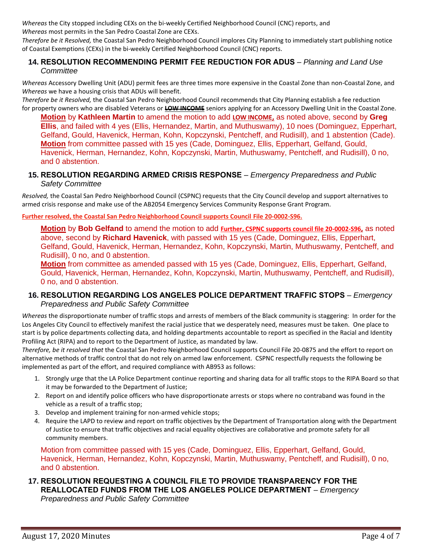*Whereas* the City stopped including CEXs on the bi-weekly Certified Neighborhood Council (CNC) reports, and *Whereas* most permits in the San Pedro Coastal Zone are CEXs.

*Therefore be it Resolved,* the Coastal San Pedro Neighborhood Council implores City Planning to immediately start publishing notice of Coastal Exemptions (CEXs) in the bi-weekly Certified Neighborhood Council (CNC) reports.

#### **14. RESOLUTION RECOMMENDING PERMIT FEE REDUCTION FOR ADUS** – *Planning and Land Use Committee*

*Whereas* Accessory Dwelling Unit (ADU) permit fees are three times more expensive in the Coastal Zone than non-Coastal Zone, and *Whereas* we have a housing crisis that ADUs will benefit.

*Therefore be it Resolved,* the Coastal San Pedro Neighborhood Council recommends that City Planning establish a fee reduction for property owners who are disabled Veterans or **LOW INCOME** seniors applying for an Accessory Dwelling Unit in the Coastal Zone.

**Motion** by **Kathleen Martin** to amend the motion to add **LOW INCOME,** as noted above, second by **Greg Ellis**, and failed with 4 yes (Ellis, Hernandez, Martin, and Muthuswamy), 10 noes (Dominguez, Epperhart, Gelfand, Gould, Havenick, Herman, Kohn, Kopczynski, Pentcheff, and Rudisill), and 1 abstention (Cade). **Motion** from committee passed with 15 yes (Cade, Dominguez, Ellis, Epperhart, Gelfand, Gould, Havenick, Herman, Hernandez, Kohn, Kopczynski, Martin, Muthuswamy, Pentcheff, and Rudisill), 0 no, and 0 abstention.

#### **15. RESOLUTION REGARDING ARMED CRISIS RESPONSE** – *Emergency Preparedness and Public Safety Committee*

*Resolved,* the Coastal San Pedro Neighborhood Council (CSPNC) requests that the City Council develop and support alternatives to armed crisis response and make use of the AB2054 Emergency Services Community Response Grant Program.

**Further resolved, the Coastal San Pedro Neighborhood Council supports Council File 20-0002-S96.**

**Motion** by **Bob Gelfand** to amend the motion to add **Further, CSPNC supports council file 20-0002-S96,** as noted above, second by **Richard Havenick**, with passed with 15 yes (Cade, Dominguez, Ellis, Epperhart, Gelfand, Gould, Havenick, Herman, Hernandez, Kohn, Kopczynski, Martin, Muthuswamy, Pentcheff, and Rudisill), 0 no, and 0 abstention.

**Motion** from committee as amended passed with 15 yes (Cade, Dominguez, Ellis, Epperhart, Gelfand, Gould, Havenick, Herman, Hernandez, Kohn, Kopczynski, Martin, Muthuswamy, Pentcheff, and Rudisill), 0 no, and 0 abstention.

#### **16. RESOLUTION REGARDING LOS ANGELES POLICE DEPARTMENT TRAFFIC STOPS** – *Emergency Preparedness and Public Safety Committee*

*Whereas* the disproportionate number of traffic stops and arrests of members of the Black community is staggering: In order for the Los Angeles City Council to effectively manifest the racial justice that we desperately need, measures must be taken. One place to start is by police departments collecting data, and holding departments accountable to report as specified in the Racial and Identity Profiling Act (RIPA) and to report to the Department of Justice, as mandated by law.

*Therefore, be it resolved that* the Coastal San Pedro Neighborhood Council supports Council File 20-0875 and the effort to report on alternative methods of traffic control that do not rely on armed law enforcement. CSPNC respectfully requests the following be implemented as part of the effort, and required compliance with AB953 as follows:

- 1. Strongly urge that the LA Police Department continue reporting and sharing data for all traffic stops to the RIPA Board so that it may be forwarded to the Department of Justice;
- 2. Report on and identify police officers who have disproportionate arrests or stops where no contraband was found in the vehicle as a result of a traffic stop;
- 3. Develop and implement training for non-armed vehicle stops;
- 4. Require the LAPD to review and report on traffic objectives by the Department of Transportation along with the Department of Justice to ensure that traffic objectives and racial equality objectives are collaborative and promote safety for all community members.

Motion from committee passed with 15 yes (Cade, Dominguez, Ellis, Epperhart, Gelfand, Gould, Havenick, Herman, Hernandez, Kohn, Kopczynski, Martin, Muthuswamy, Pentcheff, and Rudisill), 0 no, and 0 abstention.

### **17. RESOLUTION REQUESTING A COUNCIL FILE TO PROVIDE TRANSPARENCY FOR THE REALLOCATED FUNDS FROM THE LOS ANGELES POLICE DEPARTMENT** – *Emergency Preparedness and Public Safety Committee*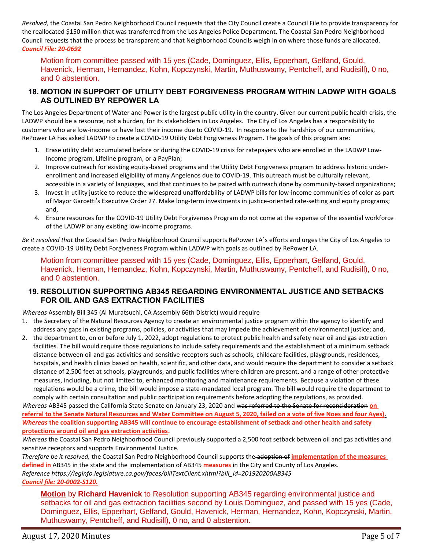*Resolved,* the Coastal San Pedro Neighborhood Council requests that the City Council create a Council File to provide transparency for the reallocated \$150 million that was transferred from the Los Angeles Police Department. The Coastal San Pedro Neighborhood Council requests that the process be transparent and that Neighborhood Councils weigh in on where those funds are allocated. *Council File: 20-0692*

Motion from committee passed with 15 yes (Cade, Dominguez, Ellis, Epperhart, Gelfand, Gould, Havenick, Herman, Hernandez, Kohn, Kopczynski, Martin, Muthuswamy, Pentcheff, and Rudisill), 0 no, and 0 abstention.

#### **18. MOTION IN SUPPORT OF UTILITY DEBT FORGIVENESS PROGRAM WITHIN LADWP WITH GOALS AS OUTLINED BY REPOWER LA**

The Los Angeles Department of Water and Power is the largest public utility in the country. Given our current public health crisis, the LADWP should be a resource, not a burden, for its stakeholders in Los Angeles. The City of Los Angeles has a responsibility to customers who are low-income or have lost their income due to COVID-19. In response to the hardships of our communities, RePower LA has asked LADWP to create a COVID-19 Utility Debt Forgiveness Program. The goals of this program are:

- 1. Erase utility debt accumulated before or during the COVID-19 crisis for ratepayers who are enrolled in the LADWP Low-Income program, Lifeline program, or a PayPlan;
- 2. Improve outreach for existing equity-based programs and the Utility Debt Forgiveness program to address historic underenrollment and increased eligibility of many Angelenos due to COVID-19. This outreach must be culturally relevant, accessible in a variety of languages, and that continues to be paired with outreach done by community-based organizations;
- 3. Invest in utility justice to reduce the widespread unaffordability of LADWP bills for low-income communities of color as part of Mayor Garcetti's Executive Order 27. Make long-term investments in justice-oriented rate-setting and equity programs; and,
- 4. Ensure resources for the COVID-19 Utility Debt Forgiveness Program do not come at the expense of the essential workforce of the LADWP or any existing low-income programs.

*Be it resolved that* the Coastal San Pedro Neighborhood Council supports RePower LA's efforts and urges the City of Los Angeles to create a COVID-19 Utility Debt Forgiveness Program within LADWP with goals as outlined by RePower LA.

Motion from committee passed with 15 yes (Cade, Dominguez, Ellis, Epperhart, Gelfand, Gould, Havenick, Herman, Hernandez, Kohn, Kopczynski, Martin, Muthuswamy, Pentcheff, and Rudisill), 0 no, and 0 abstention.

### **19. RESOLUTION SUPPORTING AB345 REGARDING ENVIRONMENTAL JUSTICE AND SETBACKS FOR OIL AND GAS EXTRACTION FACILITIES**

*Whereas* Assembly Bill 345 (Al Muratsuchi, CA Assembly 66th District) would require

- 1. the Secretary of the Natural Resources Agency to create an environmental justice program within the agency to identify and address any gaps in existing programs, policies, or activities that may impede the achievement of environmental justice; and,
- 2. the department to, on or before July 1, 2022, adopt regulations to protect public health and safety near oil and gas extraction facilities. The bill would require those regulations to include safety requirements and the establishment of a minimum setback distance between oil and gas activities and sensitive receptors such as schools, childcare facilities, playgrounds, residences, hospitals, and health clinics based on health, scientific, and other data, and would require the department to consider a setback distance of 2,500 feet at schools, playgrounds, and public facilities where children are present, and a range of other protective measures, including, but not limited to, enhanced monitoring and maintenance requirements. Because a violation of these regulations would be a crime, the bill would impose a state-mandated local program. The bill would require the department to comply with certain consultation and public participation requirements before adopting the regulations, as provided.

*Whereas* AB345 passed the California State Senate on January 23, 2020 and was referred to the Senate for reconsideration **on referral to the Senate Natural Resources and Water Committee on August 5, 2020, failed on a vote of five Noes and four Ayes)**. *Whereas* **the coalition supporting AB345 will continue to encourage establishment of setback and other health and safety protections around oil and gas extraction activities.**

*Whereas* the Coastal San Pedro Neighborhood Council previously supported a 2,500 foot setback between oil and gas activities and sensitive receptors and supports Environmental Justice.

*Therefore be it resolved,* the Coastal San Pedro Neighborhood Council supports the adoption of **implementation of the measures defined in** AB345 in the state and the implementation of AB345 **measures** in the City and County of Los Angeles. *Reference https://leginfo.legislature.ca.gov/faces/billTextClient.xhtml?bill\_id=201920200AB345 Council file: 20-0002-S120.*

**Motion** by **Richard Havenick** to Resolution supporting AB345 regarding environmental justice and setbacks for oil and gas extraction facilities second by Louis Dominguez, and passed with 15 yes (Cade, Dominguez, Ellis, Epperhart, Gelfand, Gould, Havenick, Herman, Hernandez, Kohn, Kopczynski, Martin, Muthuswamy, Pentcheff, and Rudisill), 0 no, and 0 abstention.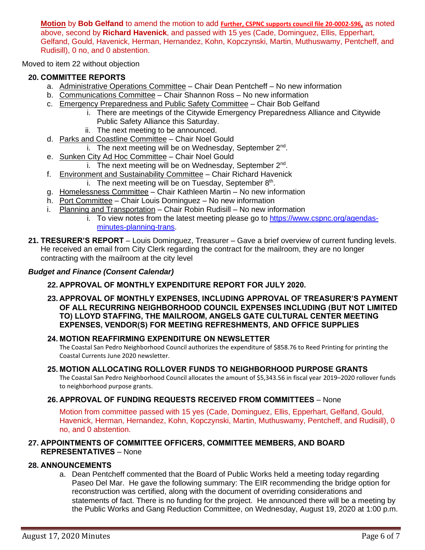**Motion** by **Bob Gelfand** to amend the motion to add **Further, CSPNC supports council file 20-0002-S96,** as noted above, second by **Richard Havenick**, and passed with 15 yes (Cade, Dominguez, Ellis, Epperhart, Gelfand, Gould, Havenick, Herman, Hernandez, Kohn, Kopczynski, Martin, Muthuswamy, Pentcheff, and Rudisill), 0 no, and 0 abstention.

Moved to item 22 without objection

### **20. COMMITTEE REPORTS**

- a. Administrative Operations Committee Chair Dean Pentcheff No new information
- b. Communications Committee Chair Shannon Ross No new information
- c. Emergency Preparedness and Public Safety Committee Chair Bob Gelfand
	- i. There are meetings of the Citywide Emergency Preparedness Alliance and Citywide Public Safety Alliance this Saturday.
		- ii. The next meeting to be announced.
- d. Parks and Coastline Committee Chair Noel Gould
	- i. The next meeting will be on Wednesday, September 2<sup>nd</sup>.
- e. Sunken City Ad Hoc Committee Chair Noel Gould
	- i. The next meeting will be on Wednesday, September 2<sup>nd</sup>.
- f. Environment and Sustainability Committee Chair Richard Havenick i. The next meeting will be on Tuesday, September  $8<sup>th</sup>$ .
- g. Homelessness Committee Chair Kathleen Martin No new information
- h. Port Committee Chair Louis Dominguez No new information
- i. Planning and Transportation Chair Robin Rudisill No new information
	- i. To view notes from the latest meeting please go to [https://www.cspnc.org/agendas](https://www.cspnc.org/agendas-minutes-planning-trans)[minutes-planning-trans.](https://www.cspnc.org/agendas-minutes-planning-trans)
- **21. TRESURER'S REPORT** Louis Dominguez, Treasurer Gave a brief overview of current funding levels. He received an email from City Clerk regarding the contract for the mailroom, they are no longer contracting with the mailroom at the city level

## *Budget and Finance (Consent Calendar)*

### **22. APPROVAL OF MONTHLY EXPENDITURE REPORT FOR JULY 2020.**

**23. APPROVAL OF MONTHLY EXPENSES, INCLUDING APPROVAL OF TREASURER'S PAYMENT OF ALL RECURRING NEIGHBORHOOD COUNCIL EXPENSES INCLUDING (BUT NOT LIMITED TO) LLOYD STAFFING, THE MAILROOM, ANGELS GATE CULTURAL CENTER MEETING EXPENSES, VENDOR(S) FOR MEETING REFRESHMENTS, AND OFFICE SUPPLIES**

### **24. MOTION REAFFIRMING EXPENDITURE ON NEWSLETTER**

The Coastal San Pedro Neighborhood Council authorizes the expenditure of \$858.76 to Reed Printing for printing the Coastal Currents June 2020 newsletter.

### **25. MOTION ALLOCATING ROLLOVER FUNDS TO NEIGHBORHOOD PURPOSE GRANTS**

The Coastal San Pedro Neighborhood Council allocates the amount of \$5,343.56 in fiscal year 2019–2020 rollover funds to neighborhood purpose grants.

### **26. APPROVAL OF FUNDING REQUESTS RECEIVED FROM COMMITTEES** – None

Motion from committee passed with 15 yes (Cade, Dominguez, Ellis, Epperhart, Gelfand, Gould, Havenick, Herman, Hernandez, Kohn, Kopczynski, Martin, Muthuswamy, Pentcheff, and Rudisill), 0 no, and 0 abstention.

### **27. APPOINTMENTS OF COMMITTEE OFFICERS, COMMITTEE MEMBERS, AND BOARD REPRESENTATIVES** – None

### **28. ANNOUNCEMENTS**

a. Dean Pentcheff commented that the Board of Public Works held a meeting today regarding Paseo Del Mar. He gave the following summary: The EIR recommending the bridge option for reconstruction was certified, along with the document of overriding considerations and statements of fact. There is no funding for the project. He announced there will be a meeting by the Public Works and Gang Reduction Committee, on Wednesday, August 19, 2020 at 1:00 p.m.